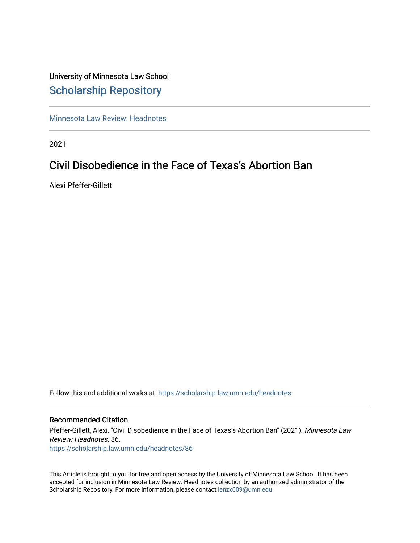# University of Minnesota Law School [Scholarship Repository](https://scholarship.law.umn.edu/)

[Minnesota Law Review: Headnotes](https://scholarship.law.umn.edu/headnotes) 

2021

# Civil Disobedience in the Face of Texas's Abortion Ban

Alexi Pfeffer-Gillett

Follow this and additional works at: [https://scholarship.law.umn.edu/headnotes](https://scholarship.law.umn.edu/headnotes?utm_source=scholarship.law.umn.edu%2Fheadnotes%2F86&utm_medium=PDF&utm_campaign=PDFCoverPages) 

### Recommended Citation

Pfeffer-Gillett, Alexi, "Civil Disobedience in the Face of Texas's Abortion Ban" (2021). Minnesota Law Review: Headnotes. 86. [https://scholarship.law.umn.edu/headnotes/86](https://scholarship.law.umn.edu/headnotes/86?utm_source=scholarship.law.umn.edu%2Fheadnotes%2F86&utm_medium=PDF&utm_campaign=PDFCoverPages)

This Article is brought to you for free and open access by the University of Minnesota Law School. It has been accepted for inclusion in Minnesota Law Review: Headnotes collection by an authorized administrator of the Scholarship Repository. For more information, please contact [lenzx009@umn.edu.](mailto:lenzx009@umn.edu)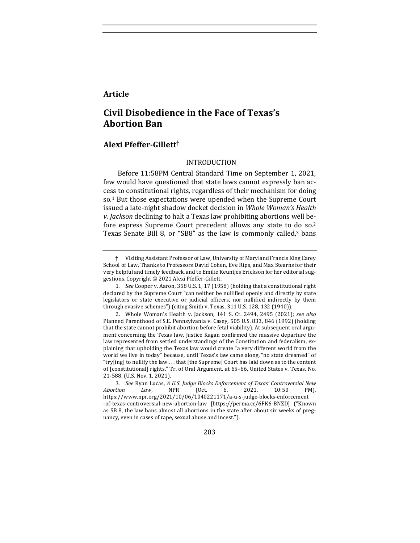## **Article**

# **Civil Disobedience in the Face of Texas's Abortion Ban**

### **Alexi Pfeffer-Gillett†**

### INTRODUCTION

Before 11:58PM Central Standard Time on September 1, 2021, few would have questioned that state laws cannot expressly ban access to constitutional rights, regardless of their mechanism for doing so.<sup>1</sup> But those expectations were upended when the Supreme Court issued a late-night shadow docket decision in *Whole Woman's Health v. Jackson* declining to halt a Texas law prohibiting abortions well before express Supreme Court precedent allows any state to do so.<sup>2</sup> Texas Senate Bill 8, or "SB8" as the law is commonly called,<sup>3</sup> bans

<sup>†</sup> Visiting Assistant Professor of Law, University of Maryland Francis King Carey School of Law. Thanks to Professors David Cohen, Eve Rips, and Max Stearns for their very helpful and timely feedback, and to Emilie Keuntjes Erickson for her editorial suggestions. Copyright © 2021 Alexi Pfeffer-Gillett.

<sup>1</sup>*. See* Cooper v. Aaron, 358 U.S. 1, 17 (1958) (holding that a constitutional right declared by the Supreme Court "can neither be nullified openly and directly by state legislators or state executive or judicial officers, nor nullified indirectly by them through evasive schemes") (citing Smith v. Texas, 311 U.S. 128, 132 (1940)).

<sup>2.</sup> Whole Woman's Health v. Jackson, 141 S. Ct. 2494, 2495 (2021); see also Planned Parenthood of S.E. Pennsylvania v. Casey, 505 U.S. 833, 846 (1992) (holding that the state cannot prohibit abortion before fetal viability). At subsequent oral argument concerning the Texas law, Justice Kagan confirmed the massive departure the law represented from settled understandings of the Constitution and federalism, explaining that upholding the Texas law would create "a very different world from the world we live in today" because, until Texas's law came along, "no state dreamed" of "try[ing] to nullify the law ... that [the Supreme] Court has laid down as to the content of [constitutional] rights." Tr. of Oral Argument. at 65-66, United States v. Texas, No. 21-588, (U.S. Nov. 1, 2021).

<sup>3</sup>*. See* Ryan Lucas, *A U.S. Judge Blocks Enforcement of Texas' Controversial New Abortion Law*, NPR (Oct. 6, 2021, 10:50 PM), https://www.npr.org/2021/10/06/1040221171/a-u-s-judge-blocks-enforcement -of-texas-controversial-new-abortion-law [https://perma.cc/6FK6-BNZD] ("Known as SB 8, the law bans almost all abortions in the state after about six weeks of pregnancy, even in cases of rape, sexual abuse and incest.").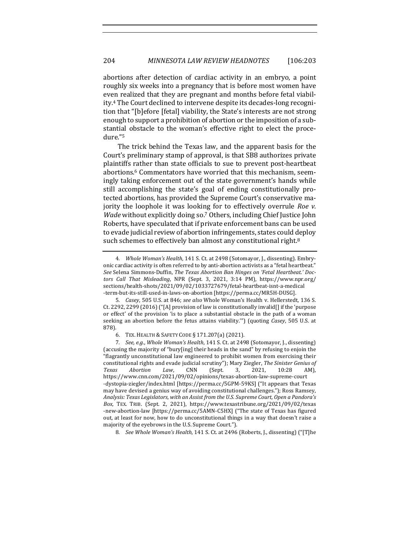abortions after detection of cardiac activity in an embryo, a point roughly six weeks into a pregnancy that is before most women have even realized that they are pregnant and months before fetal viability.<sup>4</sup> The Court declined to intervene despite its decades-long recognition that "[b]efore [fetal] viability, the State's interests are not strong enough to support a prohibition of abortion or the imposition of a substantial obstacle to the woman's effective right to elect the procedure."5

The trick behind the Texas law, and the apparent basis for the Court's preliminary stamp of approval, is that SB8 authorizes private plaintiffs rather than state officials to sue to prevent post-heartbeat abortions.<sup>6</sup> Commentators have worried that this mechanism, seemingly taking enforcement out of the state government's hands while still accomplishing the state's goal of ending constitutionally protected abortions, has provided the Supreme Court's conservative majority the loophole it was looking for to effectively overrule *Roe v*. *Wade* without explicitly doing so.<sup>7</sup> Others, including Chief Justice John Roberts, have speculated that if private enforcement bans can be used to evade judicial review of abortion infringements, states could deploy such schemes to effectively ban almost any constitutional right.<sup>8</sup>

5. *Casey*, 505 U.S. at 846; *see also* Whole Woman's Health v. Hellerstedt, 136 S. Ct. 2292, 2299 (2016) ("[A] provision of law is constitutionally invalid[] if the 'purpose or effect' of the provision 'is to place a substantial obstacle in the path of a woman seeking an abortion before the fetus attains viability."") (quoting *Casey*, 505 U.S. at 878). 

8. *See Whole Woman's Health*, 141 S. Ct. at 2496 (Roberts, J., dissenting) ("[T]he

<sup>4.</sup> *Whole Woman's Health*, 141 S. Ct. at 2498 (Sotomayor, J., dissenting). Embryonic cardiac activity is often referred to by anti-abortion activists as a "fetal heartbeat." See Selena Simmons-Duffin, The Texas Abortion Ban Hinges on 'Fetal Heartbeat.' Doc*tors Call That Misleading*, NPR (Sept. 3, 2021, 3:14 PM), https://www.npr.org/ sections/health-shots/2021/09/02/1033727679/fetal-heartbeat-isnt-a-medical -term-but-its-still-used-in-laws-on-abortion [https://perma.cc/MR5H-DUSG].

<sup>6.</sup> TEX. HEALTH & SAFETY CODE § 171.207(a) (2021).

<sup>7.</sup> *See, e.g., Whole Woman's Health,* 141 S. Ct. at 2498 (Sotomayor, J., dissenting) (accusing the majority of "bury[ing] their heads in the sand" by refusing to enjoin the "flagrantly unconstitutional law engineered to prohibit women from exercising their constitutional rights and evade judicial scrutiny"); Mary Ziegler, The Sinister Genius of *Texas Abortion Law*, CNN (Sept. 3, 2021, 10:28 AM), https://www.cnn.com/2021/09/02/opinions/texas-abortion-law-supreme-court -dystopia-ziegler/index.html [https://perma.cc/5GPM-59KS] ("It appears that Texas may have devised a genius way of avoiding constitutional challenges."); Ross Ramsey, Analysis: Texas Legislators, with an Assist from the U.S. Supreme Court, Open a Pandora's Box, TEX. TRIB. (Sept. 2, 2021), https://www.texastribune.org/2021/09/02/texas -new-abortion-law [https://perma.cc/5AMN-C5HX] ("The state of Texas has figured out, at least for now, how to do unconstitutional things in a way that doesn't raise a majority of the eyebrows in the U.S. Supreme Court.").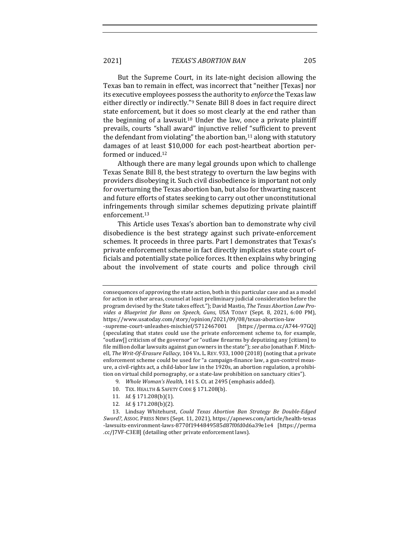2021] *TEXAS'S ABORTION BAN* 205

But the Supreme Court, in its late-night decision allowing the Texas ban to remain in effect, was incorrect that "neither [Texas] nor its executive employees possess the authority to *enforce* the Texas law either directly or indirectly."<sup>9</sup> Senate Bill 8 does in fact require direct state enforcement, but it does so most clearly at the end rather than the beginning of a lawsuit.<sup>10</sup> Under the law, once a private plaintiff prevails, courts "shall award" injunctive relief "sufficient to prevent the defendant from violating" the abortion ban,  $11$  along with statutory damages of at least \$10,000 for each post-heartbeat abortion performed or induced.<sup>12</sup>

Although there are many legal grounds upon which to challenge Texas Senate Bill 8, the best strategy to overturn the law begins with providers disobeying it. Such civil disobedience is important not only for overturning the Texas abortion ban, but also for thwarting nascent and future efforts of states seeking to carry out other unconstitutional infringements through similar schemes deputizing private plaintiff enforcement.13

This Article uses Texas's abortion ban to demonstrate why civil disobedience is the best strategy against such private-enforcement schemes. It proceeds in three parts. Part I demonstrates that Texas's private enforcement scheme in fact directly implicates state court officials and potentially state police forces. It then explains why bringing about the involvement of state courts and police through civil

- 11*. Id.* § 171.208(b)(1).
- 12*. Id.* § 171.208(b)(2).

consequences of approving the state action, both in this particular case and as a model for action in other areas, counsel at least preliminary judicial consideration before the program devised by the State takes effect."); David Mastio, The Texas Abortion Law Provides a Blueprint for Bans on Speech, Guns, USA TODAY (Sept. 8, 2021, 6:00 PM), https://www.usatoday.com/story/opinion/2021/09/08/texas-abortion-law -supreme-court-unleashes-mischief/5712467001 [https://perma.cc/A744-97GQ] (speculating that states could use the private enforcement scheme to, for example, 'outlaw[] criticism of the governor" or "outlaw firearms by deputizing any [citizen] to file million dollar lawsuits against gun owners in the state"); see also Jonathan F. Mitchell, The Writ-Of-Erasure Fallacy, 104 VA. L. REV. 933, 1000 (2018) (noting that a private enforcement scheme could be used for "a campaign-finance law, a gun-control measure, a civil-rights act, a child-labor law in the 1920s, an abortion regulation, a prohibition on virtual child pornography, or a state-law prohibition on sanctuary cities").

<sup>9.</sup> *Whole Woman's Health*, 141 S. Ct. at 2495 (emphasis added).

<sup>10.</sup> TEX. HEALTH & SAFETY CODE § 171.208(b).

<sup>13.</sup> Lindsay Whitehurst, *Could Texas Abortion Ban Strategy Be Double-Edged Sword?*, ASSOC. PRESS NEWS (Sept. 11, 2021), https://apnews.com/article/health-texas -lawsuits-environment-laws-8770f1944849585d87f0fd0d6a39e1e4 [https://perma .cc/J7VF-C3EB] (detailing other private enforcement laws).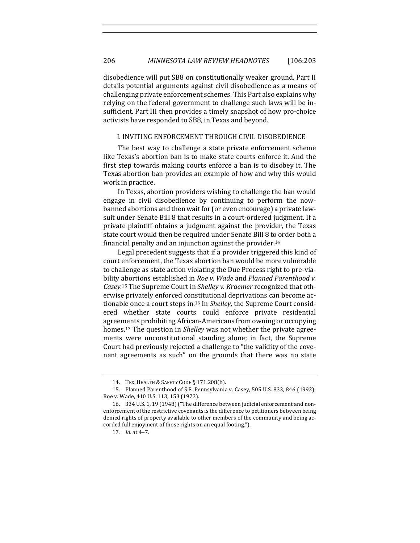disobedience will put SB8 on constitutionally weaker ground. Part II details potential arguments against civil disobedience as a means of challenging private enforcement schemes. This Part also explains why relying on the federal government to challenge such laws will be insufficient. Part III then provides a timely snapshot of how pro-choice activists have responded to SB8, in Texas and beyond.

#### I. INVITING ENFORCEMENT THROUGH CIVIL DISOBEDIENCE

The best way to challenge a state private enforcement scheme like Texas's abortion ban is to make state courts enforce it. And the first step towards making courts enforce a ban is to disobey it. The Texas abortion ban provides an example of how and why this would work in practice.

In Texas, abortion providers wishing to challenge the ban would engage in civil disobedience by continuing to perform the nowbanned abortions and then wait for (or even encourage) a private lawsuit under Senate Bill 8 that results in a court-ordered judgment. If a private plaintiff obtains a judgment against the provider, the Texas state court would then be required under Senate Bill 8 to order both a financial penalty and an injunction against the provider.<sup>14</sup>

Legal precedent suggests that if a provider triggered this kind of court enforcement, the Texas abortion ban would be more vulnerable to challenge as state action violating the Due Process right to pre-viability abortions established in *Roe v. Wade* and *Planned Parenthood v.* Casey.<sup>15</sup> The Supreme Court in *Shelley v. Kraemer* recognized that otherwise privately enforced constitutional deprivations can become actionable once a court steps in.<sup>16</sup> In *Shelley*, the Supreme Court considered whether state courts could enforce private residential agreements prohibiting African-Americans from owning or occupying homes.<sup>17</sup> The question in *Shelley* was not whether the private agreements were unconstitutional standing alone; in fact, the Supreme Court had previously rejected a challenge to "the validity of the covenant agreements as such" on the grounds that there was no state

<sup>14.</sup> TEX. HEALTH & SAFETY CODE § 171.208(b).

<sup>15.</sup> Planned Parenthood of S.E. Pennsylvania v. Casey, 505 U.S. 833, 846 (1992); Roe v. Wade, 410 U.S. 113, 153 (1973).

<sup>16. 334</sup> U.S. 1, 19 (1948) ("The difference between judicial enforcement and nonenforcement of the restrictive covenants is the difference to petitioners between being denied rights of property available to other members of the community and being accorded full enjoyment of those rights on an equal footing.").

<sup>17.</sup> *Id.* at 4-7.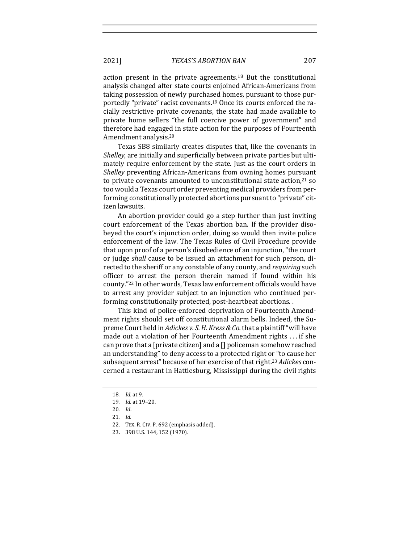action present in the private agreements.<sup>18</sup> But the constitutional analysis changed after state courts enjoined African-Americans from taking possession of newly purchased homes, pursuant to those purportedly "private" racist covenants.<sup>19</sup> Once its courts enforced the racially restrictive private covenants, the state had made available to private home sellers "the full coercive power of government" and therefore had engaged in state action for the purposes of Fourteenth Amendment analysis.<sup>20</sup>

Texas SB8 similarly creates disputes that, like the covenants in *Shelley*, are initially and superficially between private parties but ultimately require enforcement by the state. Just as the court orders in *Shelley* preventing African-Americans from owning homes pursuant to private covenants amounted to unconstitutional state action, $21$  so too would a Texas court order preventing medical providers from performing constitutionally protected abortions pursuant to "private" citizen lawsuits.

An abortion provider could go a step further than just inviting court enforcement of the Texas abortion ban. If the provider disobeyed the court's injunction order, doing so would then invite police enforcement of the law. The Texas Rules of Civil Procedure provide that upon proof of a person's disobedience of an injunction, "the court or judge *shall* cause to be issued an attachment for such person, directed to the sheriff or any constable of any county, and *requiring* such officer to arrest the person therein named if found within his county."<sup>22</sup> In other words, Texas law enforcement officials would have to arrest any provider subject to an injunction who continued performing constitutionally protected, post-heartbeat abortions. .

This kind of police-enforced deprivation of Fourteenth Amendment rights should set off constitutional alarm bells. Indeed, the Supreme Court held in *Adickes v. S. H. Kress & Co.* that a plaintiff "will have made out a violation of her Fourteenth Amendment rights  $\dots$  if she can prove that a [private citizen] and a  $\Box$  policeman somehow reached an understanding" to deny access to a protected right or "to cause her subsequent arrest" because of her exercise of that right.<sup>23</sup> Adickes concerned a restaurant in Hattiesburg, Mississippi during the civil rights

<sup>18</sup>*. Id.* at 9.

<sup>19.</sup> *Id.* at 19-20.

<sup>20</sup>*. Id*. 

<sup>21</sup>*. Id.*

<sup>22.</sup> TEX. R. CIV. P. 692 (emphasis added).

<sup>23. 398</sup> U.S. 144, 152 (1970).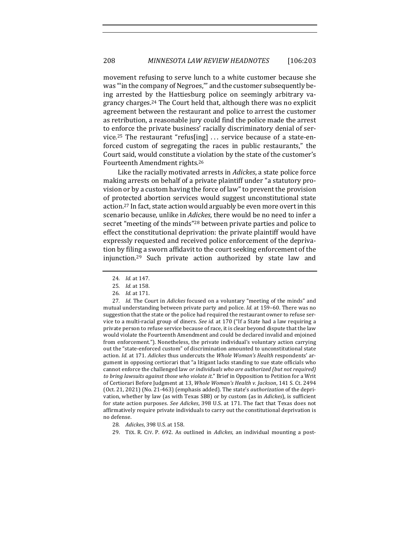movement refusing to serve lunch to a white customer because she was "in the company of Negroes," and the customer subsequently being arrested by the Hattiesburg police on seemingly arbitrary vagrancy charges.<sup>24</sup> The Court held that, although there was no explicit agreement between the restaurant and police to arrest the customer as retribution, a reasonable jury could find the police made the arrest to enforce the private business' racially discriminatory denial of service.<sup>25</sup> The restaurant "refus[ing]  $\ldots$  service because of a state-enforced custom of segregating the races in public restaurants," the Court said, would constitute a violation by the state of the customer's Fourteenth Amendment rights.<sup>26</sup>

Like the racially motivated arrests in *Adickes*, a state police force making arrests on behalf of a private plaintiff under "a statutory provision or by a custom having the force of law" to prevent the provision of protected abortion services would suggest unconstitutional state action.<sup>27</sup> In fact, state action would arguably be even more overt in this scenario because, unlike in *Adickes*, there would be no need to infer a secret "meeting of the minds"<sup>28</sup> between private parties and police to effect the constitutional deprivation: the private plaintiff would have expressly requested and received police enforcement of the deprivation by filing a sworn affidavit to the court seeking enforcement of the injunction.<sup>29</sup> Such private action authorized by state law and

27. *Id.* The Court in *Adickes* focused on a voluntary "meeting of the minds" and mutual understanding between private party and police. *Id.* at 159–60. There was no suggestion that the state or the police had required the restaurant owner to refuse service to a multi-racial group of diners. *See id.* at 170 ("If a State had a law requiring a private person to refuse service because of race, it is clear beyond dispute that the law would violate the Fourteenth Amendment and could be declared invalid and enjoined from enforcement."). Nonetheless, the private individual's voluntary action carrying out the "state-enforced custom" of discrimination amounted to unconstitutional state action. *Id.* at 171. *Adickes* thus undercuts the *Whole Woman's Health* respondents' argument in opposing certiorari that "a litigant lacks standing to sue state officials who cannot enforce the challenged law *or individuals who are authorized (but not required)* to bring lawsuits against those who violate it." Brief in Opposition to Petition for a Writ of Certiorari Before Judgment at 13, Whole Woman's Health v. Jackson, 141 S. Ct. 2494 (Oct. 21, 2021) (No. 21-463) (emphasis added). The state's *authorization* of the deprivation, whether by law (as with Texas SB8) or by custom (as in *Adickes*), is sufficient for state action purposes. See Adickes, 398 U.S. at 171. The fact that Texas does not affirmatively require private individuals to carry out the constitutional deprivation is no defense.

28. *Adickes*, 398 U.S. at 158.

29. TEX. R. CIV. P. 692. As outlined in *Adickes*, an individual mounting a post-

<sup>24</sup>*. Id.* at 147.

<sup>25</sup>*. Id.* at 158.

<sup>26</sup>*. Id.* at 171.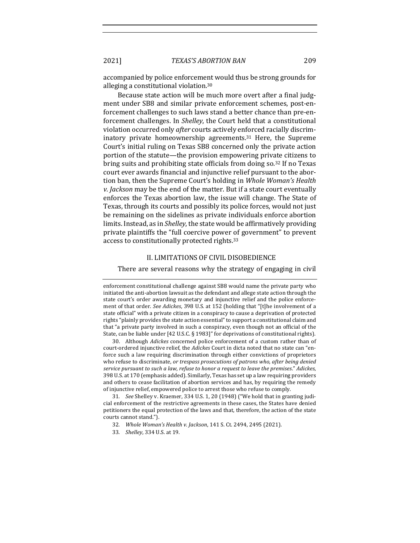accompanied by police enforcement would thus be strong grounds for alleging a constitutional violation.<sup>30</sup>

Because state action will be much more overt after a final judgment under SB8 and similar private enforcement schemes, post-enforcement challenges to such laws stand a better chance than pre-enforcement challenges. In *Shelley*, the Court held that a constitutional violation occurred only *after* courts actively enforced racially discriminatory private homeownership agreements.<sup>31</sup> Here, the Supreme Court's initial ruling on Texas SB8 concerned only the private action portion of the statute—the provision empowering private citizens to bring suits and prohibiting state officials from doing  $\text{so.}^{32}$  If no Texas court ever awards financial and injunctive relief pursuant to the abortion ban, then the Supreme Court's holding in Whole Woman's Health *v. Jackson* may be the end of the matter. But if a state court eventually enforces the Texas abortion law, the issue will change. The State of Texas, through its courts and possibly its police forces, would not just be remaining on the sidelines as private individuals enforce abortion limits. Instead, as in *Shelley*, the state would be affirmatively providing private plaintiffs the "full coercive power of government" to prevent access to constitutionally protected rights.<sup>33</sup>

#### II. LIMITATIONS OF CIVIL DISOBEDIENCE

There are several reasons why the strategy of engaging in civil

30. Although *Adickes* concerned police enforcement of a custom rather than of court-ordered injunctive relief, the *Adickes* Court in dicta noted that no state can "enforce such a law requiring discrimination through either convictions of proprietors who refuse to discriminate, or trespass prosecutions of patrons who, after being denied service pursuant to such a law, refuse to honor a request to leave the premises." Adickes, 398 U.S. at 170 (emphasis added). Similarly, Texas has set up a law requiring providers and others to cease facilitation of abortion services and has, by requiring the remedy of injunctive relief, empowered police to arrest those who refuse to comply.

31. *See* Shelley v. Kraemer, 334 U.S. 1, 20 (1948) ("We hold that in granting judicial enforcement of the restrictive agreements in these cases, the States have denied petitioners the equal protection of the laws and that, therefore, the action of the state courts cannot stand.").

- 32. *Whole Woman's Health v. Jackson,* 141 S. Ct. 2494, 2495 (2021).
- 33*. Shelley*, 334 U.S. at 19.

enforcement constitutional challenge against SB8 would name the private party who initiated the anti-abortion lawsuit as the defendant and allege state action through the state court's order awarding monetary and injunctive relief and the police enforcement of that order. See Adickes, 398 U.S. at 152 (holding that "[t]he involvement of a state official" with a private citizen in a conspiracy to cause a deprivation of protected rights "plainly provides the state action essential" to support a constitutional claim and that "a private party involved in such a conspiracy, even though not an official of the State, can be liable under  $[42 \text{ U.S.C.} \S 1983]'$  for deprivations of constitutional rights).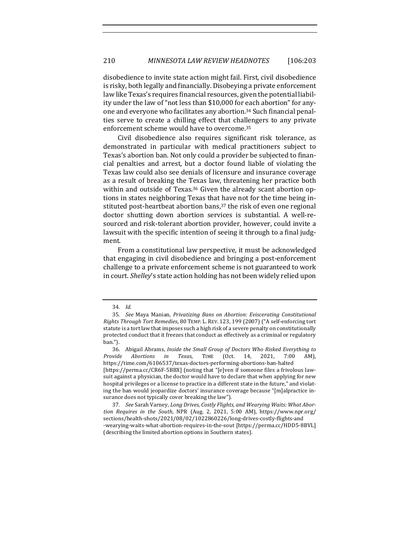disobedience to invite state action might fail. First, civil disobedience is risky, both legally and financially. Disobeying a private enforcement law like Texas's requires financial resources, given the potential liability under the law of "not less than \$10,000 for each abortion" for anyone and everyone who facilitates any abortion.<sup>34</sup> Such financial penalties serve to create a chilling effect that challengers to any private enforcement scheme would have to overcome.<sup>35</sup>

Civil disobedience also requires significant risk tolerance, as demonstrated in particular with medical practitioners subject to Texas's abortion ban. Not only could a provider be subjected to financial penalties and arrest, but a doctor found liable of violating the Texas law could also see denials of licensure and insurance coverage as a result of breaking the Texas law, threatening her practice both within and outside of Texas.<sup>36</sup> Given the already scant abortion options in states neighboring Texas that have not for the time being instituted post-heartbeat abortion bans, $37$  the risk of even one regional doctor shutting down abortion services is substantial. A well-resourced and risk-tolerant abortion provider, however, could invite a lawsuit with the specific intention of seeing it through to a final judgment. 

From a constitutional law perspective, it must be acknowledged that engaging in civil disobedience and bringing a post-enforcement challenge to a private enforcement scheme is not guaranteed to work in court. *Shelley's* state action holding has not been widely relied upon

<sup>34</sup>*. Id.*

<sup>35.</sup> See Maya Manian, *Privatizing Bans on Abortion: Eviscerating Constitutional Rights Through Tort Remedies,* 80 TEMP. L. REV. 123, 199 (2007) ("A self-enforcing tort statute is a tort law that imposes such a high risk of a severe penalty on constitutionally protected conduct that it freezes that conduct as effectively as a criminal or regulatory ban.").

<sup>36.</sup> Abigail Abrams, *Inside the Small Group of Doctors Who Risked Everything to Provide Abortions in Texas*, TIME (Oct. 14, 2021, 7:00 AM), https://time.com/6106537/texas-doctors-performing-abortions-ban-halted [https://perma.cc/CR6F-5BBX] (noting that "[e]ven if someone files a frivolous lawsuit against a physician, the doctor would have to declare that when applying for new hospital privileges or a license to practice in a different state in the future," and violating the ban would jeopardize doctors' insurance coverage because "[m]alpractice insurance does not typically cover breaking the law").

<sup>37.</sup> See Sarah Varney, Long Drives, Costly Flights, and Wearying Waits: What Abor*tion Requires in the South*, NPR (Aug. 2, 2021, 5:00 AM), https://www.npr.org/ sections/health-shots/2021/08/02/1022860226/long-drives-costly-flights-and -wearying-waits-what-abortion-requires-in-the-sout [https://perma.cc/HDD5-8BVL] (describing the limited abortion options in Southern states).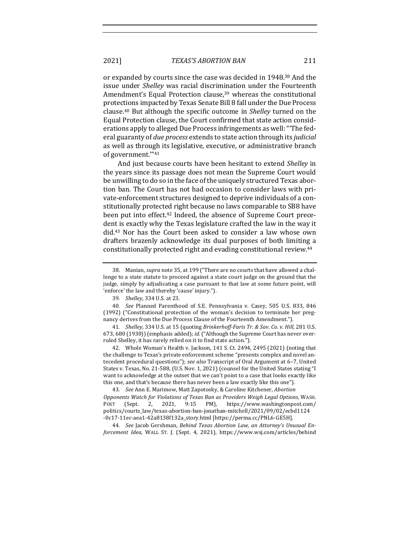2021] *TEXAS'S ABORTION BAN* 211

or expanded by courts since the case was decided in 1948.<sup>38</sup> And the issue under *Shelley* was racial discrimination under the Fourteenth Amendment's Equal Protection clause,<sup>39</sup> whereas the constitutional protections impacted by Texas Senate Bill 8 fall under the Due Process clause.<sup>40</sup> But although the specific outcome in *Shelley* turned on the Equal Protection clause, the Court confirmed that state action considerations apply to alleged Due Process infringements as well: "The federal guaranty of *due process* extends to state action through its *judicial* as well as through its legislative, executive, or administrative branch of government.""41

And just because courts have been hesitant to extend *Shelley* in the years since its passage does not mean the Supreme Court would be unwilling to do so in the face of the uniquely structured Texas abortion ban. The Court has not had occasion to consider laws with private-enforcement structures designed to deprive individuals of a constitutionally protected right because no laws comparable to SB8 have been put into effect.<sup>42</sup> Indeed, the absence of Supreme Court precedent is exactly why the Texas legislature crafted the law in the way it did.<sup>43</sup> Nor has the Court been asked to consider a law whose own drafters brazenly acknowledge its dual purposes of both limiting a constitutionally protected right and evading constitutional review.<sup>44</sup>

42. Whole Woman's Health v. Jackson, 141 S. Ct. 2494, 2495 (2021) (noting that the challenge to Texas's private enforcement scheme "presents complex and novel antecedent procedural questions"); see also Transcript of Oral Argument at 6-7, United States v. Texas, No. 21-588, (U.S. Nov. 1, 2021) (counsel for the United States stating "I want to acknowledge at the outset that we can't point to a case that looks exactly like this one, and that's because there has never been a law exactly like this one").

43*. See* Ann E. Marimow, Matt Zapotosky, & Caroline Kitchener, *Abortion Opponents Watch for Violations of Texas Ban as Providers Weigh Legal Options*, WASH. POST (Sept. 2, 2021, 9:15 PM), https://www.washingtonpost.com/ politics/courts\_law/texas-abortion-ban-jonathan-mitchell/2021/09/02/ecbd1124 -0c17-11ec-aea1-42a8138f132a\_story.html [https://perma.cc/PNL6-GE5H]. 

44. See Jacob Gershman, Behind Texas Abortion Law, an Attorney's Unusual En*forcement Idea*, WALL ST. J. (Sept. 4, 2021), https://www.wsj.com/articles/behind

<sup>38.</sup> Manian, *supra* note 35, at 199 ("There are no courts that have allowed a challenge to a state statute to proceed against a state court judge on the ground that the judge, simply by adjudicating a case pursuant to that law at some future point, will 'enforce' the law and thereby 'cause' injury.").

<sup>39</sup>*. Shelley*, 334 U.S. at 23.

<sup>40.</sup> *See* Planned Parenthood of S.E. Pennsylvania v. Casey, 505 U.S. 833, 846 (1992) ("Constitutional protection of the woman's decision to terminate her pregnancy derives from the Due Process Clause of the Fourteenth Amendment.").

<sup>41.</sup> *Shelley*, 334 U.S. at 15 (quoting *Brinkerhoff-Faris Tr. & Sav. Co. v. Hill*, 281 U.S. 673, 680 (1930)) (emphasis added); *id.* ("Although the Supreme Court has never overruled Shelley, it has rarely relied on it to find state action.").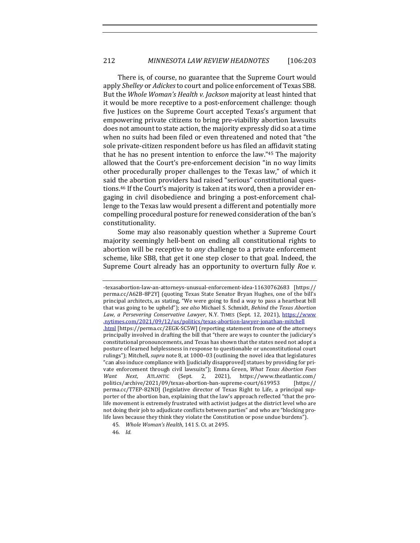There is, of course, no guarantee that the Supreme Court would apply *Shelley* or *Adickes* to court and police enforcement of Texas SB8. But the Whole Woman's Health v. Jackson majority at least hinted that it would be more receptive to a post-enforcement challenge: though five Justices on the Supreme Court accepted Texas's argument that empowering private citizens to bring pre-viability abortion lawsuits does not amount to state action, the majority expressly did so at a time when no suits had been filed or even threatened and noted that "the sole private-citizen respondent before us has filed an affidavit stating that he has no present intention to enforce the law." $45$  The majority allowed that the Court's pre-enforcement decision "in no way limits other procedurally proper challenges to the Texas law," of which it said the abortion providers had raised "serious" constitutional questions.<sup>46</sup> If the Court's majority is taken at its word, then a provider engaging in civil disobedience and bringing a post-enforcement challenge to the Texas law would present a different and potentially more compelling procedural posture for renewed consideration of the ban's constitutionality.

Some may also reasonably question whether a Supreme Court majority seemingly hell-bent on ending all constitutional rights to abortion will be receptive to *any* challenge to a private enforcement scheme, like SB8, that get it one step closer to that goal. Indeed, the Supreme Court already has an opportunity to overturn fully *Roe* v.

46*. Id.*

<sup>-</sup>texasabortion-law-an-attorneys-unusual-enforcement-idea-11630762683 [https:// perma.cc/A62B-8P2Y] (quoting Texas State Senator Bryan Hughes, one of the bill's principal architects, as stating, "We were going to find a way to pass a heartbeat bill that was going to be upheld"); *see also* Michael S. Schmidt, *Behind the Texas Abortion* Law, a Persevering Conservative Lawyer, N.Y. TIMES (Sept. 12, 2021), https://www .nytimes.com/2021/09/12/us/politics/texas-abortion-lawyer-jonathan-mitchell html [https://perma.cc/2EGK-SC5W] (reporting statement from one of the attorneys principally involved in drafting the bill that "there are ways to counter the judiciary's constitutional pronouncements, and Texas has shown that the states need not adopt a posture of learned helplessness in response to questionable or unconstitutional court rulings"); Mitchell, *supra* note 8, at 1000-03 (outlining the novel idea that legislatures "can also induce compliance with [judicially disapproved] statues by providing for private enforcement through civil lawsuits"); Emma Green, *What Texas Abortion Foes* Want Next, ATLANTIC (Sept. 2, 2021), https://www.theatlantic.com/ politics/archive/2021/09/texas-abortion-ban-supreme-court/619953 [https:// perma.cc/T7EP-82ND] (legislative director of Texas Right to Life, a principal supporter of the abortion ban, explaining that the law's approach reflected "that the prolife movement is extremely frustrated with activist judges at the district level who are not doing their job to adjudicate conflicts between parties" and who are "blocking prolife laws because they think they violate the Constitution or pose undue burdens").

<sup>45</sup>*. Whole Woman's Health*, 141 S. Ct. at 2495.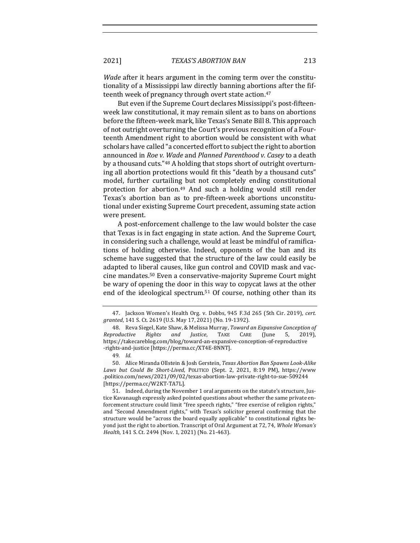*Wade* after it hears argument in the coming term over the constitutionality of a Mississippi law directly banning abortions after the fifteenth week of pregnancy through overt state action.<sup>47</sup>

But even if the Supreme Court declares Mississippi's post-fifteenweek law constitutional, it may remain silent as to bans on abortions before the fifteen-week mark, like Texas's Senate Bill 8. This approach of not outright overturning the Court's previous recognition of a Fourteenth Amendment right to abortion would be consistent with what scholars have called "a concerted effort to subject the right to abortion announced in *Roe v. Wade* and *Planned Parenthood v. Casey* to a death by a thousand cuts."<sup>48</sup> A holding that stops short of outright overturning all abortion protections would fit this "death by a thousand cuts" model, further curtailing but not completely ending constitutional protection for abortion.<sup>49</sup> And such a holding would still render Texas's abortion ban as to pre-fifteen-week abortions unconstitutional under existing Supreme Court precedent, assuming state action were present.

A post-enforcement challenge to the law would bolster the case that Texas is in fact engaging in state action. And the Supreme Court, in considering such a challenge, would at least be mindful of ramifications of holding otherwise. Indeed, opponents of the ban and its scheme have suggested that the structure of the law could easily be adapted to liberal causes, like gun control and COVID mask and vaccine mandates.<sup>50</sup> Even a conservative-majority Supreme Court might be wary of opening the door in this way to copycat laws at the other end of the ideological spectrum.<sup>51</sup> Of course, nothing other than its

<sup>47.</sup> Jackson Women's Health Org. v. Dobbs, 945 F.3d 265 (5th Cir. 2019), cert. granted, 141 S. Ct. 2619 (U.S. May 17, 2021) (No. 19-1392).

<sup>48.</sup> Reva Siegel, Kate Shaw, & Melissa Murray, *Toward an Expansive Conception of Reproductive Rights and Justice*, TAKE CARE (June 5, 2019), https://takecareblog.com/blog/toward-an-expansive-conception-of-reproductive -rights-and-justice [https://perma.cc/XT4E-8NNT].

<sup>49</sup>*. Id.*

<sup>50.</sup> Alice Miranda Ollstein & Josh Gerstein, *Texas Abortion Ban Spawns Look-Alike* Laws but Could Be Short-Lived, POLITICO (Sept. 2, 2021, 8:19 PM), https://www .politico.com/news/2021/09/02/texas-abortion-law-private-right-to-sue-509244 [https://perma.cc/W2KT-TA7L].

<sup>51.</sup> Indeed, during the November 1 oral arguments on the statute's structure, Justice Kavanaugh expressly asked pointed questions about whether the same private enforcement structure could limit "free speech rights," "free exercise of religion rights," and "Second Amendment rights," with Texas's solicitor general confirming that the structure would be "across the board equally applicable" to constitutional rights beyond just the right to abortion. Transcript of Oral Argument at 72, 74, *Whole Woman's Health*, 141 S. Ct. 2494 (Nov. 1, 2021) (No. 21-463).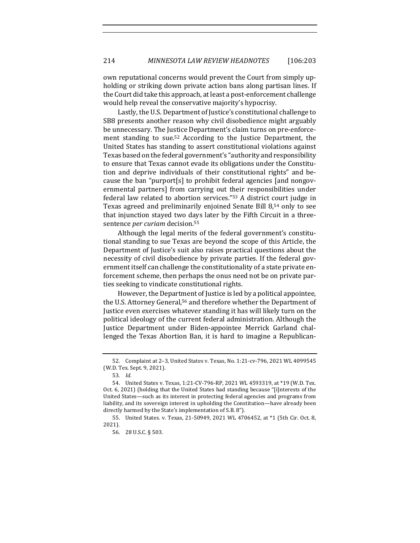own reputational concerns would prevent the Court from simply upholding or striking down private action bans along partisan lines. If the Court did take this approach, at least a post-enforcement challenge would help reveal the conservative majority's hypocrisy.

Lastly, the U.S. Department of Justice's constitutional challenge to SB8 presents another reason why civil disobedience might arguably be unnecessary. The Justice Department's claim turns on pre-enforcement standing to sue.<sup>52</sup> According to the Justice Department, the United States has standing to assert constitutional violations against Texas based on the federal government's "authority and responsibility to ensure that Texas cannot evade its obligations under the Constitution and deprive individuals of their constitutional rights" and because the ban "purport[s] to prohibit federal agencies [and nongovernmental partners] from carrying out their responsibilities under federal law related to abortion services." $53$  A district court judge in Texas agreed and preliminarily enjoined Senate Bill 8,<sup>54</sup> only to see that injunction stayed two days later by the Fifth Circuit in a threesentence *per curiam* decision.<sup>55</sup>

Although the legal merits of the federal government's constitutional standing to sue Texas are beyond the scope of this Article, the Department of Justice's suit also raises practical questions about the necessity of civil disobedience by private parties. If the federal government itself can challenge the constitutionality of a state private enforcement scheme, then perhaps the onus need not be on private parties seeking to vindicate constitutional rights.

However, the Department of Justice is led by a political appointee, the U.S. Attorney General,<sup>56</sup> and therefore whether the Department of Justice even exercises whatever standing it has will likely turn on the political ideology of the current federal administration. Although the Justice Department under Biden-appointee Merrick Garland challenged the Texas Abortion Ban, it is hard to imagine a Republican-

<sup>52.</sup> Complaint at 2-3, United States v. Texas, No. 1:21-cv-796, 2021 WL 4099545 (W.D. Tex. Sept. 9, 2021).

<sup>53</sup>*. Id.*

<sup>54.</sup> United States v. Texas, 1:21-CV-796-RP, 2021 WL 4593319, at \*19 (W.D. Tex. Oct. 6, 2021) (holding that the United States had standing because "[i]nterests of the United States—such as its interest in protecting federal agencies and programs from liability, and its sovereign interest in upholding the Constitution—have already been directly harmed by the State's implementation of S.B. 8").

<sup>55.</sup> United States. v. Texas, 21-50949, 2021 WL 4706452, at \*1 (5th Cir. Oct. 8, 2021). 

<sup>56.</sup> 28 U.S.C. § 503.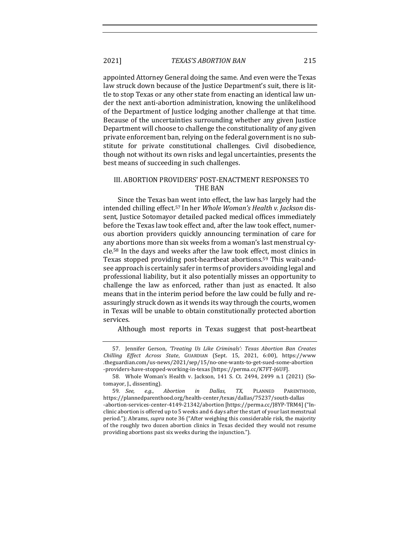2021] *TEXAS'S ABORTION BAN* 215

appointed Attorney General doing the same. And even were the Texas law struck down because of the Justice Department's suit, there is little to stop Texas or any other state from enacting an identical law under the next anti-abortion administration, knowing the unlikelihood of the Department of Justice lodging another challenge at that time. Because of the uncertainties surrounding whether any given Justice Department will choose to challenge the constitutionality of any given private enforcement ban, relying on the federal government is no substitute for private constitutional challenges. Civil disobedience, though not without its own risks and legal uncertainties, presents the best means of succeeding in such challenges.

#### III. ABORTION PROVIDERS' POST-ENACTMENT RESPONSES TO **THE BAN**

Since the Texas ban went into effect, the law has largely had the intended chilling effect.<sup>57</sup> In her *Whole Woman's Health v. Jackson* dissent, Justice Sotomayor detailed packed medical offices immediately before the Texas law took effect and, after the law took effect, numerous abortion providers quickly announcing termination of care for any abortions more than six weeks from a woman's last menstrual cycle.<sup>58</sup> In the days and weeks after the law took effect, most clinics in Texas stopped providing post-heartbeat abortions.<sup>59</sup> This wait-andsee approach is certainly safer in terms of providers avoiding legal and professional liability, but it also potentially misses an opportunity to challenge the law as enforced, rather than just as enacted. It also means that in the interim period before the law could be fully and reassuringly struck down as it wends its way through the courts, women in Texas will be unable to obtain constitutionally protected abortion services.

Although most reports in Texas suggest that post-heartbeat

<sup>57.</sup> Jennifer Gerson, 'Treating Us Like Criminals': Texas Abortion Ban Creates *Chilling Effect Across State*, GUARDIAN (Sept. 15, 2021, 6:00), https://www .theguardian.com/us-news/2021/sep/15/no-one-wants-to-get-sued-some-abortion -providers-have-stopped-working-in-texas [https://perma.cc/K7FT-J6UF].

<sup>58.</sup> Whole Woman's Health v. Jackson, 141 S. Ct. 2494, 2499 n.1 (2021) (Sotomayor, J., dissenting).

<sup>59</sup>*. See, e.g.*, *Abortion in Dallas, TX*, PLANNED PARENTHOOD, https://plannedparenthood.org/health-center/texas/dallas/75237/south-dallas

<sup>-</sup>abortion-services-center-4149-21342/abortion [https://perma.cc/J8YP-TRM4] ("Inclinic abortion is offered up to 5 weeks and 6 days after the start of your last menstrual period."); Abrams, *supra* note 36 ("After weighing this considerable risk, the majority of the roughly two dozen abortion clinics in Texas decided they would not resume providing abortions past six weeks during the injunction.").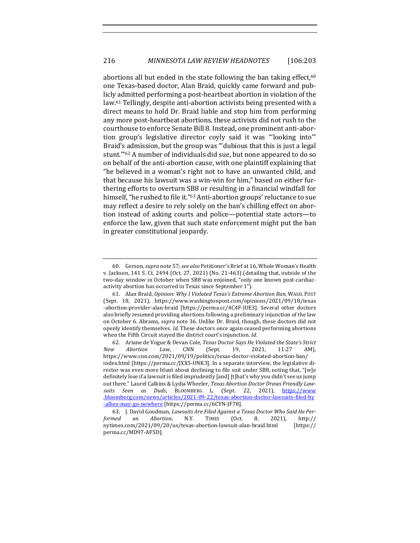abortions all but ended in the state following the ban taking effect,  $60$ one Texas-based doctor, Alan Braid, quickly came forward and publicly admitted performing a post-heartbeat abortion in violation of the law.<sup>61</sup> Tellingly, despite anti-abortion activists being presented with a direct means to hold Dr. Braid liable and stop him from performing any more post-heartbeat abortions, these activists did not rush to the courthouse to enforce Senate Bill 8. Instead, one prominent anti-abortion group's legislative director coyly said it was "looking into" Braid's admission, but the group was "'dubious that this is just a legal stunt."<sup>62</sup> A number of individuals did sue, but none appeared to do so on behalf of the anti-abortion cause, with one plaintiff explaining that "he believed in a woman's right not to have an unwanted child, and that because his lawsuit was a win-win for him," based on either furthering efforts to overturn SB8 or resulting in a financial windfall for himself, "he rushed to file it."<sup>63</sup> Anti-abortion groups' reluctance to sue may reflect a desire to rely solely on the ban's chilling effect on abortion instead of asking courts and police—potential state actors—to enforce the law, given that such state enforcement might put the ban in greater constitutional jeopardy.

<sup>60.</sup> Gerson, *supra* note 57; *see also* Petitioner's Brief at 16, Whole Woman's Health v. Jackson, 141 S. Ct. 2494 (Oct. 27, 2021) (No. 21-463) (detailing that, outside of the two-day window in October when SB8 was enjoined, "only one known post-cardiacactivity abortion has occurred in Texas since September 1").

<sup>61.</sup> Alan Braid, *Opinion: Why I Violated Texas's Extreme Abortion Ban*, WASH. POST (Sept. 18, 2021), https://www.washingtonpost.com/opinions/2021/09/18/texas -abortion-provider-alan-braid [https://perma.cc/4C4F-JUE3]. Several other doctors also briefly resumed providing abortions following a preliminary injunction of the law on October 6. Abrams, *supra* note 36. Unlike Dr. Braid, though, these doctors did not openly identify themselves. *Id.* These doctors once again ceased performing abortions when the Fifth Circuit stayed the district court's injunction. *Id.* 

<sup>62.</sup> Ariane de Vogue & Devan Cole, *Texas Doctor Says He Violated the State's Strict New Abortion Law*, CNN (Sept. 19, 2021, 11:27 AM), https://www.cnn.com/2021/09/19/politics/texas-doctor-violated-abortion-ban/ index.html [https://perma.cc/JXX5-UNK3]. In a separate interview, the legislative director was even more blunt about declining to file suit under SB8, noting that, "[w]e definitely lose if a lawsuit is filed imprudently [and] [t]hat's why you didn't see us jump out there." Laurel Calkins & Lydia Wheeler, *Texas Abortion Doctor Draws Friendly Lawsuits Seen as Duds*, BLOOMBERG L. (Sept. 22, 2021), https://www .bloomberg.com/news/articles/2021-09-22/texas-abortion-doctor-lawsuits-filed-by -allies-may-go-nowhere [https://perma.cc/6CYN-JF78]. 

<sup>63.</sup> J. David Goodman, *Lawsuits Are Filed Against a Texas Doctor Who Said He Performed an Abortion*, N.Y. TIMES (Oct. 8, 2021), http:// nytimes.com/2021/09/20/us/texas-abortion-lawsuit-alan-braid.html [https:// perma.cc/MD97-AF5D].